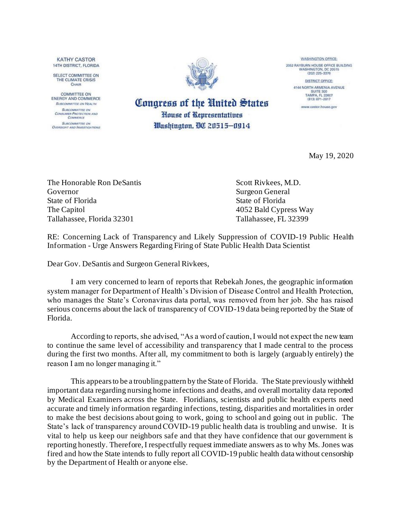**KATHY CASTOR** 14TH DISTRICT, FLORIDA

SELECT COMMITTEE ON THE CLIMATE CRISIS CHAIR

COMMITTEE ON **ENERGY AND COMMERCE** SUBCOMMETTEE ON HEALTH **SURCOMMITTEE ON** CONSUMER PROTECTION AND **SUBCOMMITTEE ON** Oversight AND Investiga mons



Congress of the United States

House of Representatives

Washington, 00 20515-0914

**WASHINGTON OFFICE:** 2052 RAYBURN HOUSE OFFICE BUILDING<br>WASHINGTON, DC 20515<br>(202) 225-3376

> DISTRICT OFFICE 4144 NORTH ARMENIA AVENUE SUITE 300<br>TAMPA, FL 33607 (813) 871-2817

www.castor.house.gov

May 19, 2020

The Honorable Ron DeSantis Scott Rivkees, M.D. Governor Surgeon General State of Florida State of Florida The Capitol 4052 Bald Cypress Way Tallahassee, Florida 32301 Tallahassee, FL 32399

RE: Concerning Lack of Transparency and Likely Suppression of COVID-19 Public Health Information - Urge Answers Regarding Firing of State Public Health Data Scientist

Dear Gov. DeSantis and Surgeon General Rivkees,

I am very concerned to learn of reports that Rebekah Jones, the geographic information system manager for Department of Health's Division of Disease Control and Health Protection, who manages the State's Coronavirus data portal, was removed from her job. She has raised serious concerns about the lack of transparency of COVID-19 data being reported by the State of Florida.

According to reports, she advised, "As a word of caution, I would not expect the new team to continue the same level of accessibility and transparency that I made central to the process during the first two months. After all, my commitment to both is largely (arguably entirely) the reason I am no longer managing it."

This appears to be a troubling pattern by the State of Florida. The State previously withheld important data regarding nursing home infections and deaths, and overall mortality data reported by Medical Examiners across the State. Floridians, scientists and public health experts need accurate and timely information regarding infections, testing, disparities and mortalities in order to make the best decisions about going to work, going to school and going out in public. The State's lack of transparency around COVID-19 public health data is troubling and unwise. It is vital to help us keep our neighbors safe and that they have confidence that our government is reporting honestly. Therefore, I respectfully request immediate answers as to why Ms. Jones was fired and how the State intends to fully report all COVID-19 public health data without censorship by the Department of Health or anyone else.